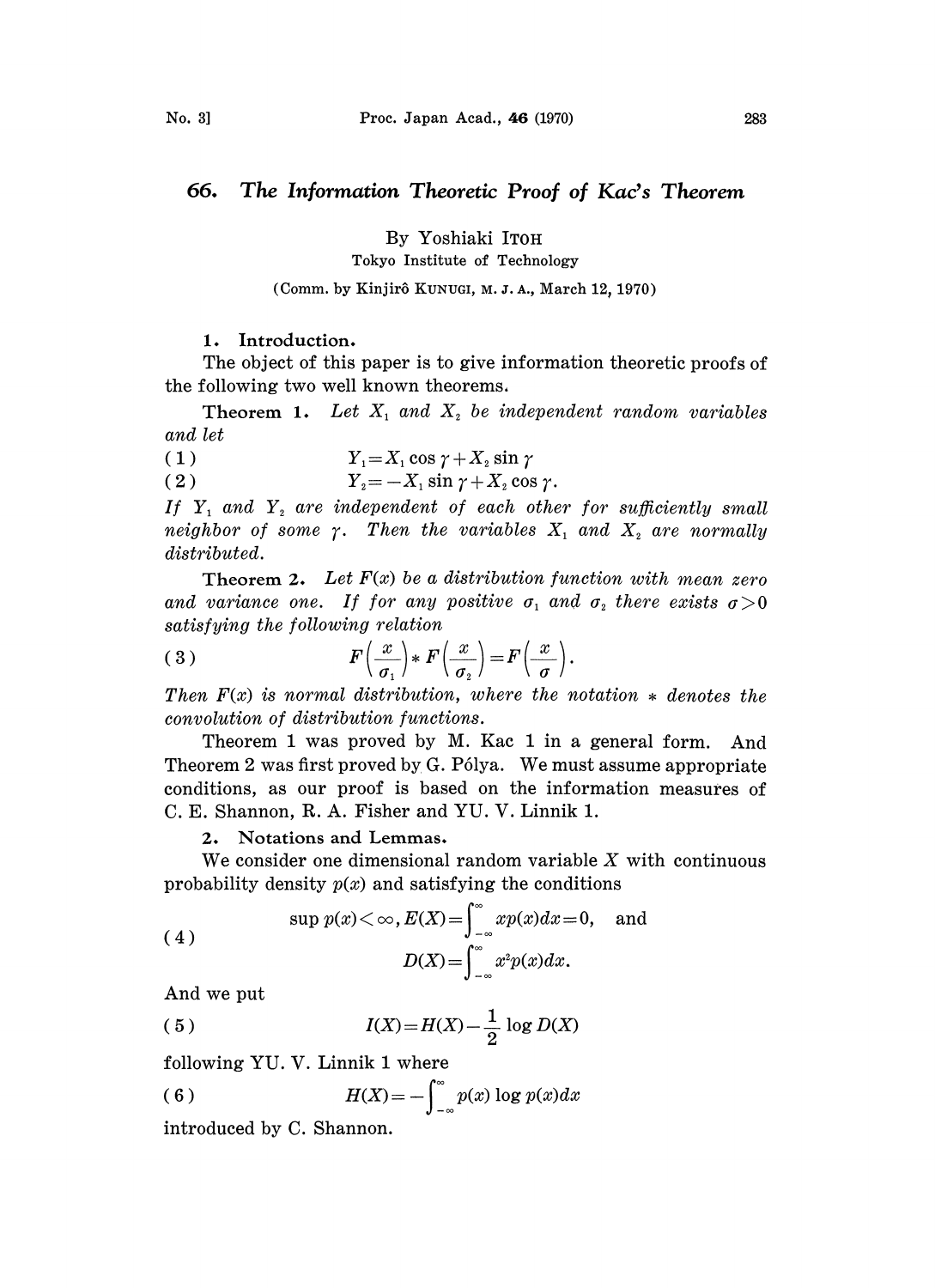# 66. The Information Theoretic Proof of Kac's Theorem

By Yoshiaki ITOH

Tokyo Institute of Technology

# (Comm. by Kinjirô KUNUGI, M. J. A., March 12, 1970).

## 1. Introduction.

The object of this paper is to give information theoretic proofs of the following two well known theorems,

**Theorem 1.** Let  $X_1$  and  $X_2$  be independent random variables and let

$$
(1) \t Y1=X1 cos \gamma + X2 sin \gamma
$$

2)  $Y_2 = -X_1 \sin \gamma + X_2 \cos \gamma$ .

If  $Y_1$  and  $Y_2$  are independent of each other for sufficiently small neighbor of some  $\gamma$ . Then the variables  $X_1$  and  $X_2$  are normally distributed.

Theorem 2. Let  $F(x)$  be a distribution function with mean zero and variance one. If for any positive  $\sigma_1$  and  $\sigma_2$  there exists  $\sigma > 0$ satisfying the following relation

(3) 
$$
F\left(\frac{x}{\sigma_1}\right) * F\left(\frac{x}{\sigma_2}\right) = F\left(\frac{x}{\sigma}\right).
$$

Then  $F(x)$  is normal distribution, where the notation  $*$  denotes the convolution of distribution functions.

Theorem 1 was proved by M. Kac 1 in a general form. And Theorem 2 was first proved by  $G$ . Pólya. We must assume appropriate conditions, as our proof is based on the information measures of C. E. Shannon, R. A. Fisher and YU. V. Linnik 1.

# 2, Notations and Lemmas,

We consider one dimensional random variable  $X$  with continuous probability density  $p(x)$  and satisfying the conditions

(4)  
\n
$$
\sup p(x) < \infty, E(X) = \int_{-\infty}^{\infty} x p(x) dx = 0, \text{ and}
$$
\n
$$
D(X) = \int_{-\infty}^{\infty} x^2 p(x) dx.
$$
\nAnd we put

And we put

(5) 
$$
I(X) = H(X) - \frac{1}{2} \log D(X)
$$

following YU. V. Linnik 1 where

(6) 
$$
H(X) = -\int_{-\infty}^{\infty} p(x) \log p(x) dx
$$

introduced by C. Shannon.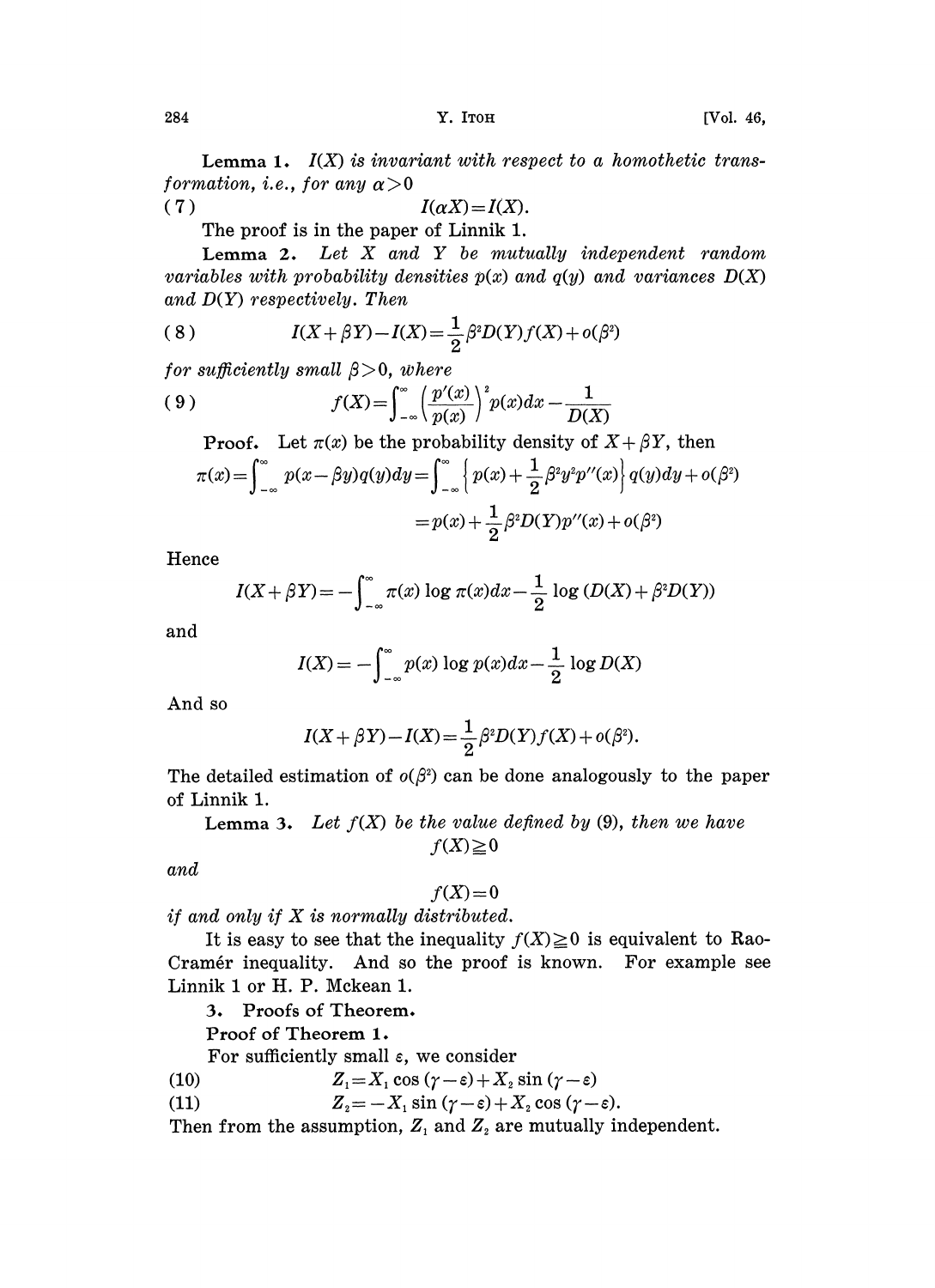**Lemma 1.**  $I(X)$  is invariant with respect to a homothetic transformation, i.e., for any  $\alpha > 0$ 

(7)  $I(\alpha X) = I(X).$ 

The proof is in the paper of Linnik 1.

Lemma 2. Let  $X$  and  $Y$  be mutually independent random variables with probability densities  $p(x)$  and  $q(y)$  and variances  $D(X)$ and  $D(Y)$  respectively. Then

(8) 
$$
I(X + \beta Y) - I(X) = \frac{1}{2} \beta^2 D(Y) f(X) + o(\beta^2)
$$

for sufficiently small  $\beta > 0$ , where

(9) 
$$
f(X) = \int_{-\infty}^{\infty} \left( \frac{p'(x)}{p(x)} \right)^2 p(x) dx - \frac{1}{D(X)}
$$

**Proof.** Let  $\pi(x)$  be the probability density of  $X + \beta Y$ , then

$$
\pi(x) = \int_{-\infty}^{\infty} p(x - \beta y)q(y)dy = \int_{-\infty}^{\infty} \left\{ p(x) + \frac{1}{2} \beta^2 y^2 p''(x) \right\} q(y)dy + o(\beta^2)
$$

$$
= p(x) + \frac{1}{2} \beta^2 D(Y)p''(x) + o(\beta^2)
$$

Hence

$$
I(X+\beta Y) = -\int_{-\infty}^{\infty} \pi(x) \log \pi(x) dx - \frac{1}{2} \log (D(X) + \beta^2 D(Y))
$$

and

$$
I(X) = -\int_{-\infty}^{\infty} p(x) \log p(x) dx - \frac{1}{2} \log D(X)
$$

And so

$$
I(X + \beta Y) - I(X) = \frac{1}{2} \beta^{2} D(Y) f(X) + o(\beta^{2}).
$$

The detailed estimation of  $o(\beta^2)$  can be done analogously to the paper of Linnik 1.

**Lemma 3.** Let  $f(X)$  be the value defined by (9), then we have  $f(X)\geq 0$ 

and

## $f(X)=0$

if and only if  $X$  is normally distributed.

It is easy to see that the inequality  $f(X) \geq 0$  is equivalent to Rao-Cramér inequality. And so the proof is known. For example see Linnik 1 or H. P. Mckean 1.

3. Proofs of Theorem.

Proof of Theorem 1.

For sufficiently small  $\varepsilon$ , we consider

- (10)  $Z_1 = X_1 \cos(\gamma \varepsilon) + X_2 \sin(\gamma \varepsilon)$ <br>(11)  $Z_2 = -X_1 \sin(\gamma \varepsilon) + X_2 \cos(\gamma \varepsilon)$
- $Z_2 = -X_1 \sin (\gamma \varepsilon) + X_2 \cos (\gamma \varepsilon).$

Then from the assumption,  $Z_1$  and  $Z_2$  are mutually independent.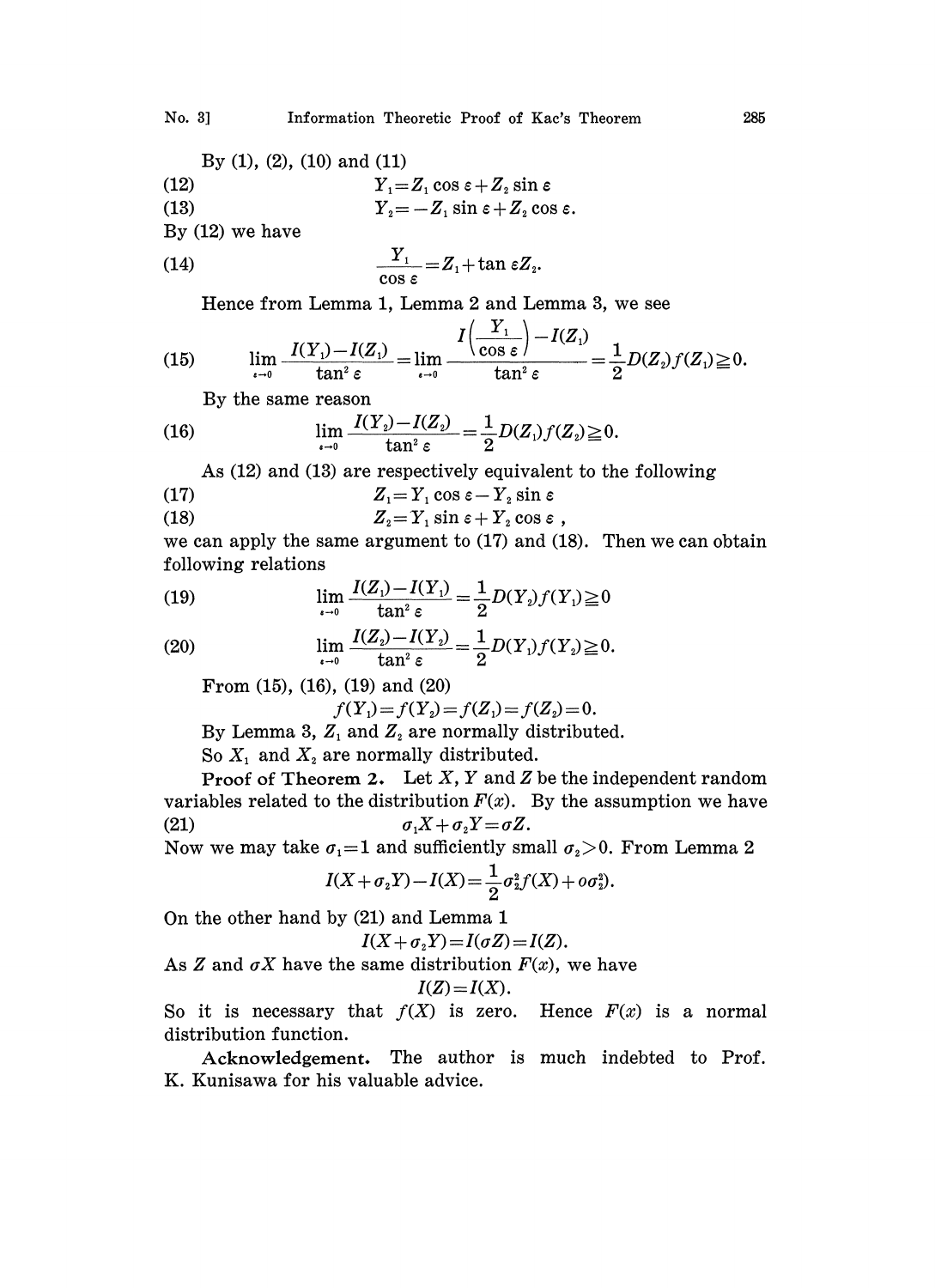By (1), (2), (10) and (11)  
\n(12)  
\n(13)  
\n
$$
Y_1 = Z_1 \cos \varepsilon + Z_2 \sin \varepsilon
$$
\n
$$
Y_2 = -Z_1 \sin \varepsilon + Z_2 \cos \varepsilon.
$$

By (12) we have

(14) 
$$
\frac{Y_1}{\cos \varepsilon} = Z_1 + \tan \varepsilon Z_2
$$

Hence from Lemma 1, Lemma <sup>2</sup> and Lemma 3, we see

(15) 
$$
\lim_{\epsilon \to 0} \frac{I(Y_1) - I(Z_1)}{\tan^2 \epsilon} = \lim_{\epsilon \to 0} \frac{I\left(\frac{Y_1}{\cos \epsilon}\right) - I(Z_1)}{\tan^2 \epsilon} = \frac{1}{2} D(Z_2) f(Z_1) \geq 0.
$$

By the same reason

(16) 
$$
\lim_{\epsilon \to 0} \frac{I(Y_2) - I(Z_2)}{\tan^2 \epsilon} = \frac{1}{2} D(Z_1) f(Z_2) \ge 0.
$$

As (12) and (13) are respectively equivalent to the following

(17) 
$$
Z_1 = Y_1 \cos \varepsilon - Y_2 \sin \varepsilon
$$

(18) 
$$
Z_{2} = Y_{1} \sin \varepsilon + Y_{2} \cos \varepsilon
$$

we can apply the same argument to (17) and (18). Then we can obtain following relations

(19) 
$$
\lim_{\epsilon \to 0} \frac{I(Z_1) - I(Y_1)}{\tan^2 \epsilon} = \frac{1}{2} D(Y_2) f(Y_1) \ge 0
$$

(20) 
$$
\lim_{\epsilon \to 0} \frac{I(Z_2) - I(Y_2)}{\tan^2 \epsilon} = \frac{1}{2} D(Y_1) f(Y_2) \ge 0.
$$

From (15), (16), (19) and (20)

 $f(Y_1) = f(Y_2) = f(Z_1) = f(Z_2) = 0.$ 

By Lemma 3,  $Z_1$  and  $Z_2$  are normally distributed.

So  $X_1$  and  $X_2$  are normally distributed.

Proof of Theorem 2. Let  $X$ ,  $Y$  and  $Z$  be the independent random variables related to the distribution  $F(x)$ . By the assumption we have (21)  $\sigma_1 X + \sigma_2 Y = \sigma Z.$ 

Now we may take  $\sigma_1=1$  and sufficiently small  $\sigma_2>0$ . From Lemma 2.

$$
I(X + \sigma_2 Y) - I(X) = \frac{1}{2} \sigma_2^2 f(X) + o \sigma_2^2.
$$

On the other hand by (21) and Lemma <sup>1</sup>

$$
I(X+\sigma_2 Y)=I(\sigma Z)=I(Z).
$$

As Z and  $\sigma X$  have the same distribution  $F(x)$ , we have

$$
I(Z)=I(X).
$$

So it is necessary that  $f(X)$  is zero. Hence  $F(x)$  is a normal distribution function.

Acknowledgement. The author is much indebted to Prof. K. Kunisawa for his valuable advice.